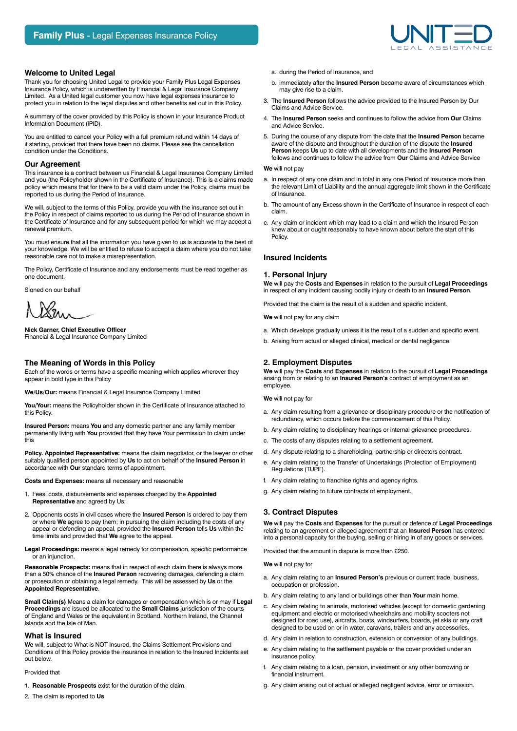# **Welcome to United Legal**

Thank you for choosing United Legal to provide your Family Plus Legal Expenses Insurance Policy, which is underwritten by Financial & Legal Insurance Company Limited. As a United legal customer you now have legal expenses insurance to protect you in relation to the legal disputes and other benefits set out in this Policy.

A summary of the cover provided by this Policy is shown in your Insurance Product Information Document (IPID).

You are entitled to cancel your Policy with a full premium refund within 14 days of it starting, provided that there have been no claims. Please see the cancellation condition under the Conditions.

## **Our Agreement**

This insurance is a contract between us Financial & Legal Insurance Company Limited and you (the Policyholder shown in the Certificate of Insurance). This is a claims made policy which means that for there to be a valid claim under the Policy, claims must be reported to us during the Period of Insurance.

We will, subject to the terms of this Policy, provide you with the insurance set out in the Policy in respect of claims reported to us during the Period of Insurance shown in the Certificate of Insurance and for any subsequent period for which we may accept a renewal premium.

You must ensure that all the information you have given to us is accurate to the best of your knowledge. We will be entitled to refuse to accept a claim where you do not take reasonable care not to make a misrepresentation.

The Policy, Certificate of Insurance and any endorsements must be read together as one document.

Signed on our behalf

Ł'n

**Nick Garner, Chief Executive Officer** Financial & Legal Insurance Company Limited

# **The Meaning of Words in this Policy**

Each of the words or terms have a specific meaning which applies wherever they appear in bold type in this Policy

**We/Us/Our:** means Financial & Legal Insurance Company Limited

**You/Your:** means the Policyholder shown in the Certificate of Insurance attached to this Policy.

**Insured Person:** means **You** and any domestic partner and any family member permanently living with **You** provided that they have Your permission to claim under this

**Policy. Appointed Representative:** means the claim negotiator, or the lawyer or other suitably qualified person appointed by **Us** to act on behalf of the **Insured Person** in accordance with **Our** standard terms of appointment.

**Costs and Expenses:** means all necessary and reasonable

- 1. Fees, costs, disbursements and expenses charged by the **Appointed Representative** and agreed by Us;
- 2. Opponents costs in civil cases where the **Insured Person** is ordered to pay them or where **We** agree to pay them; in pursuing the claim including the costs of any appeal or defending an appeal, provided the **Insured Person** tells **Us** within the time limits and provided that **We** agree to the appeal.
- **Legal Proceedings:** means a legal remedy for compensation, specific performance or an injunction.

**Reasonable Prospects:** means that in respect of each claim there is always more than a 50% chance of the **Insured Person** recovering damages, defending a claim or prosecution or obtaining a legal remedy. This will be assessed by **Us** or the **Appointed Representative**.

**Small Claim(s)** Means a claim for damages or compensation which is or may if **Legal Proceedings** are issued be allocated to the **Small Claims** jurisdiction of the courts of England and Wales or the equivalent in Scotland, Northern Ireland, the Channel Islands and the Isle of Man.

## **What is Insured**

**We** will, subject to What is NOT Insured, the Claims Settlement Provisions and Conditions of this Policy provide the insurance in relation to the Insured Incidents set out below.

## Provided that

- 1. **Reasonable Prospects** exist for the duration of the claim.
- 2. The claim is reported to **Us**
- a. during the Period of Insurance, and
- b. immediately after the **Insured Person** became aware of circumstances which may give rise to a claim.
- 3. The **Insured Person** follows the advice provided to the Insured Person by Our Claims and Advice Service.
- 4. The **Insured Person** seeks and continues to follow the advice from **Our** Claims and Advice Service.
- 5. During the course of any dispute from the date that the **Insured Person** became aware of the dispute and throughout the duration of the dispute the **Insured Person** keeps **Us** up to date with all developments and the **Insured Person** follows and continues to follow the advice from **Our** Claims and Advice Service

### **We** will not pay

- a. In respect of any one claim and in total in any one Period of Insurance more than the relevant Limit of Liability and the annual aggregate limit shown in the Certificate of Insurance.
- b. The amount of any Excess shown in the Certificate of Insurance in respect of each claim.
- c. Any claim or incident which may lead to a claim and which the Insured Person knew about or ought reasonably to have known about before the start of this Policy.

### **Insured Incidents**

## **1. Personal Injury**

**We** will pay the **Costs** and **Expenses** in relation to the pursuit of **Legal Proceedings** in respect of any incident causing bodily injury or death to an **Insured Person**.

Provided that the claim is the result of a sudden and specific incident.

**We** will not pay for any claim

- a. Which develops gradually unless it is the result of a sudden and specific event.
- b. Arising from actual or alleged clinical, medical or dental negligence.

## **2. Employment Disputes**

**We** will pay the **Costs** and **Expenses** in relation to the pursuit of **Legal Proceedings** arising from or relating to an **Insured Person's** contract of employment as an employee.

**We** will not pay for

- a. Any claim resulting from a grievance or disciplinary procedure or the notification of redundancy, which occurs before the commencement of this Policy.
- b. Any claim relating to disciplinary hearings or internal grievance procedures.
- c. The costs of any disputes relating to a settlement agreement.
- d. Any dispute relating to a shareholding, partnership or directors contract.
- e. Any claim relating to the Transfer of Undertakings (Protection of Employment) Regulations (TUPE).
- f. Any claim relating to franchise rights and agency rights.
- g. Any claim relating to future contracts of employment.

## **3. Contract Disputes**

**We** will pay the **Costs** and **Expenses** for the pursuit or defence of **Legal Proceedings** relating to an agreement or alleged agreement that an **Insured Person** has entered into a personal capacity for the buying, selling or hiring in of any goods or services.

Provided that the amount in dispute is more than £250.

**We** will not pay for

- a. Any claim relating to an **Insured Person's** previous or current trade, business, occupation or profession.
- b. Any claim relating to any land or buildings other than **Your** main home.
- c. Any claim relating to animals, motorised vehicles (except for domestic gardening equipment and electric or motorised wheelchairs and mobility scooters not designed for road use), aircrafts, boats, windsurfers, boards, jet skis or any craft designed to be used on or in water, caravans, trailers and any accessories.
- d. Any claim in relation to construction, extension or conversion of any buildings.
- e. Any claim relating to the settlement payable or the cover provided under an insurance policy.
- Any claim relating to a loan, pension, investment or any other borrowing or financial instrument.
- g. Any claim arising out of actual or alleged negligent advice, error or omission.

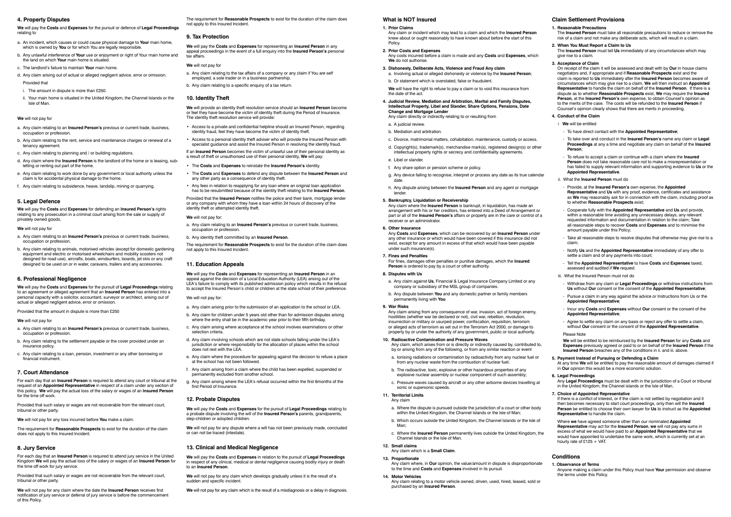## **4. Property Disputes**

**We** will pay the **Costs** and **Expenses** for the pursuit or defence of **Legal Proceedings** relating to

- a. An incident, which causes or could cause physical damage to **Your** main home, which is owned by **You** or for which You are legally responsible.
- b. Any unlawful interference of **Your** use or enjoyment or right of Your main home and the land on which **Your** main home is situated.
- c. The landlord's failure to maintain **Your** main home.
- d. Any claim arising out of actual or alleged negligent advice, error or omission. Provided that
- i. The amount in dispute is more than £250.
- ii. Your main home is situated in the United Kingdom, the Channel Islands or the Isle of Man.

### **We** will not pay for

- a. Any claim relating to an **Insured Person's** previous or current trade, business, occupation or profession.
- b. Any claim relating to the rent, service and maintenance charges or renewal of a tenancy agreement.
- c. Any claim relating to planning and / or building regulations.
- d. Any claim where the **Insured Person** is the landlord of the home or is leasing, subletting or renting out part of the home.
- e. Any claim relating to work done by any government or local authority unless the claim is for accidental physical damage to the home.
- f. Any claim relating to subsidence, heave, landslip, mining or quarrying.

### **5. Legal Defence**

**We** will pay the **Costs** and **Expenses** for defending an **Insured Person's** rights relating to any prosecution in a criminal court arising from the sale or supply of privately owned goods.

### **We** will not pay for

- a. Any claim relating to an **Insured Person's** previous or current trade, business, occupation or profession.
- b. Any claim relating to animals, motorised vehicles (except for domestic gardening equipment and electric or motorised wheelchairs and mobility scooters not designed for road use), aircrafts, boats, windsurfers, boards, jet skis or any craft designed to be used on or in water, caravans, trailers and any accessories.

# **6. Professional Negligence**

**We** will pay the **Costs** and **Expenses** for the pursuit of **Legal Proceedings** relating to an agreement or alleged agreement that an **Insured Person** has entered into a personal capacity with a solicitor, accountant, surveyor or architect, arising out of actual or alleged negligent advice, error or omission.

Provided that the amount in dispute is more than £250

#### **We** will not pay for

- a. Any claim relating to an **Insured Person's** previous or current trade, business, occupation or profession.
- b. Any claim relating to the settlement payable or the cover provided under an insurance policy.
- c. Any claim relating to a loan, pension, investment or any other borrowing or financial instrument.

## **7. Court Attendance**

For each day that an **Insured Person** is required to attend any court or tribunal at the request of an **Appointed Representative** in respect of a claim under any section of this policy. **We** will pay the actual loss of the salary or wages of an **Insured Person** for the time off work.

Provided that such salary or wages are not recoverable from the relevant court, tribunal or other party.

**We** will not pay for any loss incurred before **You** make a claim.

The requirement for **Reasonable Prospects** to exist for the duration of the claim does not apply to this Insured Incident.

## **8. Jury Service**

For each day that an **Insured Person** is required to attend jury service in the United Kingdom **We** will pay the actual loss of the salary or wages of an **Insured Person** for the time off work for jury service.

Provided that such salary or wages are not recoverable from the relevant court, tribunal or other party.

**We** will not pay for any claim where the date the **Insured Person** receives first notification of jury service or deferral of jury service is before the commencement of this Policy.

The requirement for **Reasonable Prospects** to exist for the duration of the claim does not apply to this Insured Incident.

## **9. Tax Protection**

**We** will pay the **Costs** and **Expenses** for representing an **Insured Person** in any appeal proceedings in the event of a full enquiry into the **Insured Person's** personal tax affairs.

## **We** will not pay for

- a. Any claim relating to the tax affairs of a company or any claim if You are self employed, a sole trader or in a business partnership.
- b. Any claim relating to a specific enquiry of a tax return.

# **10. Identity Theft**

**We** will provide an identity theft resolution service should an **Insured Person** become or feel they have become the victim of identity theft during the Period of Insurance. The identity theft resolution service will provide:

- Access to a private and confidential helpline should an Insured Person, regarding identity fraud, feel they have become the victim of identity theft.
- Access to a personal identity theft adviser who will provide the Insured Person with specialist guidance and assist the Insured Person in resolving the identity fraud.

If an **Insured Person** becomes the victim of unlawful use of their personal identity as a result of theft or unauthorised use of their personal identity, **We** will pay:

- The **Costs** and **Expenses** to reinstate the **Insured Person's** identity.
- The **Costs** and **Expenses** to defend any dispute between the **Insured Person** and any other party as a consequence of identity theft.
- Any fees in relation to reapplying for any loan where an original loan application has to be resubmitted because of the identity theft relating to the **Insured Person**.

Provided that the **Insured Person** notifies the police and their bank, mortgage lender or any company with whom they have a loan within 24 hours of discovery of the identity theft or attempted identity theft.

### **We** will not pay for:

- a. Any claim relating to an **Insured Person's** previous or current trade, business, occupation or profession.
- b. Any identity theft committed by an **Insured Person**.

The requirement for **Reasonable Prospects** to exist for the duration of the claim does not apply to this Insured Incident.

# **11. Education Appeals**

**We** will pay the **Costs** and **Expenses** for representing an **Insured Person** in an appeal against the decision of a Local Education Authority (LEA) arising out of the LEA's failure to comply with its published admission policy which results in the refusal to accept the Insured Person's child or children at the state school of their preference.

## We will not pay for:

- a. Any claim arising prior to the submission of an application to the school or LEA.
- b. Any claim for children under 5 years old other than for admission disputes arising where the entry shall be in the academic year prior to their fifth birthday.
- c. Any claim arising where acceptance at the school involves examinations or other selection criteria.
- d. Any claim involving schools which are not state schools falling under the LEA's jurisdiction or where responsibility for the allocation of places within the school does not rest with the LFA.
- e. Any claim where the procedure for appealing against the decision to refuse a place at the school has not been followed.
- f. Any claim arising from a claim where the child has been expelled, suspended or permanently excluded from another school.
- g. Any claim arising where the LEA's refusal occurred within the first 6months of the first Period of Insurance.

## **12. Probate Disputes**

**We** will pay the **Costs** and **Expenses** for the pursuit of **Legal Proceedings** relating to a probate dispute involving the will of the **Insured Person's** parents, grandparents, step-children or adopted children.

**We** will not pay for any dispute where a will has not been previously made, concluded or can not be traced (intestate).

## **13. Clinical and Medical Negligence**

**We** will pay the **Costs** and **Expenses** in relation to the pursuit of **Legal Proceedings** in respect of any clinical, medical or dental negligence causing bodily injury or death to an **Insured Person**.

**We** will not pay for any claim which develops gradually unless it is the result of a sudden and specific incident.

**We** will not pay for any claim which is the result of a misdiagnosis or a delay in diagnosis.

# **What is NOT Insured**

### **1. Prior Claims**

Where **we** have agreed someone other than our nominated **Appointed Representative** may act for the **Insured Person**, **we** will not pay any sums in excess of what we would have paid to an **Appointed Representative** that we would have appointed to undertake the same work, which is currently set at an hourly rate of  $25 + \text{VAT}$ 

- Any claim or incident which may lead to a claim and which the **Insured Person**  knew about or ought reasonably to have known about before the start of this **Policy**
- **2. Prior Costs and Expenses**

Any costs incurred before a claim is made and any **Costs** and **Expenses**, which **We** do not authorise.

- **3. Dishonesty, Deliberate Acts, Violence and Fraud Any claim** a. Involving actual or alleged dishonesty or violence by the **Insured Person**;
- b. Or statement which is overstated, false or fraudulent.

**We** will have the right to refuse to pay a claim or to void this insurance from the date of the act.

**4. Judicial Review, Mediation and Arbitration, Marital and Family Disputes, Intellectual Property, Libel and Slander, Share Options, Pensions, Date Change and Mortgage Lender**

Any claim directly or indirectly relating to or resulting from

- a. A judicial review.
- b. Mediation and arbitration.
- c. Divorce, matrimonial matters, cohabitation, maintenance, custody or access.
- d. Copyright(s), trademark(s), merchandise mark(s), registered design(s) or other intellectual property rights or secrecy and confidentiality agreements.
- e. Libel or slander.
- f. Any share option or pension scheme or policy.
- g. Any device failing to recognise, interpret or process any date as its true calendar date.

h. Any dispute arising between the **Insured Person** and any agent or mortgage lender.

**5. Bankruptcy, Liquidation or Receivership**

Any claim where the **Insured Person** is bankrupt, in liquidation, has made an arrangement with his or her creditors, has entered into a Deed of Arrangement or part or all of the **Insured Person's** affairs or property are in the care or control of a receiver or an administrator.

### **6. Other Insurance**

Any **Costs** and **Expenses**, which can be recovered by an **Insured Person** under any other insurance or which would have been covered if this insurance did not exist, except for any amount in excess of that which would have been payable under such insurance(s).

### **7. Fines and Penalties**

For fines, damages other penalties or punitive damages, which the **Insured Person** is ordered to pay by a court or other authority.

### **8. Disputes with Us**

a. Any claim against **Us**, Financial & Legal Insurance Company Limited or any company or subsidiary of the MSL group of companies.

b. Any dispute between **You** and any domestic partner or family members permanently living with **You**

### **9. War Risks** Any claim arising from any consequence of war, invasion, act of foreign enemy,

hostilities (whether war be declared or not), civil war, rebellion, revolution, insurrection or military or usurped power, confiscation, requisition, terrorism or alleged acts of terrorism as set out in the Terrorism Act 2000, or damage to property by or under the authority of any government, public or local authority.

**10. Radioactive Contamination and Pressure Waves** 

sonic or supersonic speeds.

Any claim, which arises from or is directly or indirectly caused by, contributed to, by or arising from any of the following, or from any similar reaction or event a. Ionising radiations or contamination by radioactivity from any nuclear fuel or

from any nuclear waste from the combustion of nuclear fuel; b. The radioactive, toxic, explosive or other hazardous properties of any explosive nuclear assembly or nuclear component of such assembly; c. Pressure waves caused by aircraft or any other airborne devices travelling at

**11. Territorial Limits** Any claim

> a. Where the dispute is pursued outside the jurisdiction of a court or other body within the United Kingdom, the Channel Islands or the Isle of Man; b. Which occurs outside the United Kingdom, the Channel Islands or the Isle of

Man;

c. Where the **Insured Person** permanently lives outside the United Kingdom, the

Channel Islands or the Isle of Man.

**12. Small claims**

Any claim which is a **Small Claim**.

**13. Proportionate**

Any claim where, in **Our** opinion, the value/amount in dispute is disproportionate

to the time and **Costs** and **Expenses** involved in its pursuit.

**14. Motor Vehicles**

Any claim relating to a motor vehicle owned, driven, used, hired, leased, sold or

purchased by an **Insured Person**.

# **Claim Settlement Provisions**

# **1. Reasonable Precautions**

The **Insured Person** must take all reasonable precautions to reduce or remove the risk of a claim and not make any deliberate acts, which will result in a claim.

# **2. When You Must Report a Claim to Us**

The **Insured Person** must tell **Us** immediately of any circumstances which may give rise to a claim.

## **3. Acceptance of Claim**

On receipt of the claim it will be assessed and dealt with by **Our** in house claims negotiators and, if appropriate and if **Reasonable Prospects** exist and the claim is reported to **Us** immediately after the **Insured Person** becomes aware of circumstances which may give rise to a claim, **We** will then instruct an **Appointed Representative** to handle the claim on behalf of the **Insured Person**. If there is a dispute as to whether **Reasonable Prospects** exist, **We** may require the **Insured Person**, at the **Insured Person's** own expense, to obtain Counsel's opinion as to the merits of the case. The costs will be refunded to the **Insured Person** if Counsel's opinion clearly shows that there are merits in proceeding.

## **4. Conduct of the Claim**

- i **We** will be entitled
- To have direct contact with the **Appointed Representative**;
- To take over and conduct in the **Insured Person's** name any claim or **Legal Proceedings** at any a time and negotiate any claim on behalf of the **Insured Person**;
- To refuse to accept a claim or continue with a claim where the **Insured Person** does not take reasonable care not to make a misrepresentation or has failed to supply relevant information and supporting evidence to **Us** or the **Appointed Representative**.
- ii. What the **Insured Person** must do
- Provide, at the **Insured Person's** own expense, the **Appointed Representative** and **Us** with any proof, evidence, certificates and assistance as **We** may reasonably ask for in connection with the claim, including proof as to whether **Reasonable Prospects** exist;
- Cooperate fully with the **Appointed Representative** and **Us** and provide, within a reasonable time avoiding any unnecessary delays, any relevant requested information and documentation in relation to the claim; Take all reasonable steps to recover **Costs** and **Expenses** and to minimise the amount payable under this Policy;
- Take all reasonable steps to resolve disputes that otherwise may give rise to a claim;
- Notify **Us** and the **Appointed Representative** immediately of any offer to settle a claim and of any payments into court;
- Tell the **Appointed Representative** to have **Costs** and **Expenses** taxed, assessed and audited if **We** request.
- iii. What the Insured Person must not do
- Withdraw from any claim or **Legal Proceedings** or withdraw instructions from **Us** without **Our** consent or the consent of the **Appointed Representative**;
- Pursue a claim in any way against the advice or Instructions from Us or the **Appointed Representative**;
- Incur any **Costs** and **Expenses** without **Our** consent or the consent of the **Appointed Representative**;
- Agree to settle any claim on any basis or reject any offer to settle a claim, without **Our** consent or the consent of the **Appointed Representative**.

### Please Note

**We** will be entitled to be reimbursed by the **Insured Person** for any **Costs** and **Expenses** previously agreed or paid to or on behalf of the **Insured Person** if the **Insured Person** breaches any of the conditions in ii. and iii. above.

## **5. Payment Instead of Pursuing or Defending a Claim**

At any time **We** will be entitled to pay the reasonable amount of damages claimed if in **Our** opinion this would be a more economic solution.

## **6. Legal Proceedings**

Any **Legal Proceedings** must be dealt with in the jurisdiction of a Court or tribunal in the United Kingdom, the Channel islands or the Isle of Man.

### **7. Choice of Appointed Representative**

If there is a conflict of interest, or if the claim is not settled by negotiation and it then becomes necessary to start court proceedings, only then will the **Insured Person** be entitled to choose their own lawyer for **Us** to instruct as the **Appointed Representative** to handle the claim.

# **Conditions**

## **1. Observance of Terms**

Anyone making a claim under this Policy must have **Your** permission and observe the terms under this Policy.